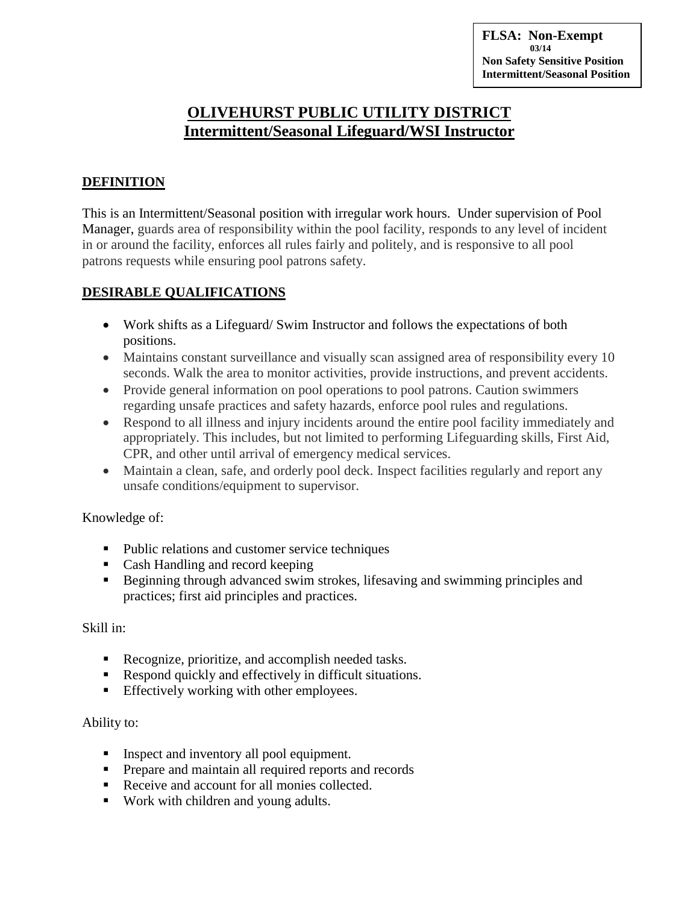**FLSA: Non-Exempt 03/14 Non Safety Sensitive Position Intermittent/Seasonal Position**

# **OLIVEHURST PUBLIC UTILITY DISTRICT Intermittent/Seasonal Lifeguard/WSI Instructor**

## **DEFINITION**

This is an Intermittent/Seasonal position with irregular work hours. Under supervision of Pool Manager, guards area of responsibility within the pool facility, responds to any level of incident in or around the facility, enforces all rules fairly and politely, and is responsive to all pool patrons requests while ensuring pool patrons safety.

## **DESIRABLE QUALIFICATIONS**

- Work shifts as a Lifeguard/ Swim Instructor and follows the expectations of both positions.
- Maintains constant surveillance and visually scan assigned area of responsibility every 10 seconds. Walk the area to monitor activities, provide instructions, and prevent accidents.
- Provide general information on pool operations to pool patrons. Caution swimmers regarding unsafe practices and safety hazards, enforce pool rules and regulations.
- Respond to all illness and injury incidents around the entire pool facility immediately and appropriately. This includes, but not limited to performing Lifeguarding skills, First Aid, CPR, and other until arrival of emergency medical services.
- Maintain a clean, safe, and orderly pool deck. Inspect facilities regularly and report any unsafe conditions/equipment to supervisor.

## Knowledge of:

- Public relations and customer service techniques
- Cash Handling and record keeping
- Beginning through advanced swim strokes, lifesaving and swimming principles and practices; first aid principles and practices.

#### Skill in:

- Recognize, prioritize, and accomplish needed tasks.
- Respond quickly and effectively in difficult situations.
- **Effectively working with other employees.**

## Ability to:

- Inspect and inventory all pool equipment.
- **Prepare and maintain all required reports and records**
- Receive and account for all monies collected.
- Work with children and young adults.